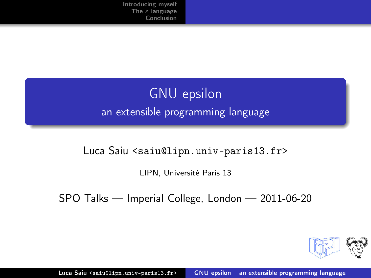## GNU epsilon an extensible programming language

#### Luca Saiu <saiu@lipn.univ-paris13.fr>

LIPN, Université Paris 13

SPO Talks — Imperial College, London — 2011-06-20

<span id="page-0-0"></span>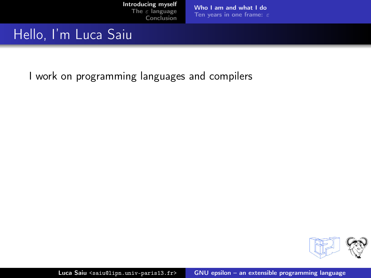[Who I am and what I do](#page-5-0) [Ten years in one frame:](#page-7-0) ε

### Hello, I'm Luca Saiu

<span id="page-1-0"></span>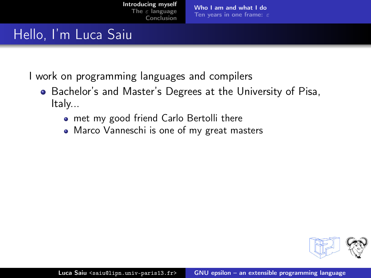[Who I am and what I do](#page-5-0) [Ten years in one frame:](#page-7-0)  $\varepsilon$ 

## Hello, I'm Luca Saiu

- Bachelor's and Master's Degrees at the University of Pisa, Italy...
	- met my good friend Carlo Bertolli there
	- Marco Vanneschi is one of my great masters

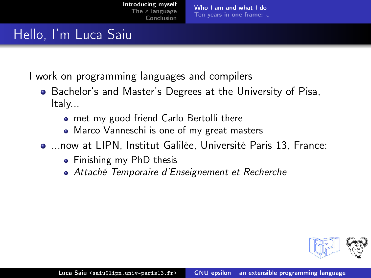[Who I am and what I do](#page-5-0) [Ten years in one frame:](#page-7-0) ε

## Hello, I'm Luca Saiu

- Bachelor's and Master's Degrees at the University of Pisa, Italy...
	- met my good friend Carlo Bertolli there
	- Marco Vanneschi is one of my great masters
- ...now at LIPN, Institut Galilée, Université Paris 13, France:
	- Finishing my PhD thesis
	- Attaché Temporaire d'Enseignement et Recherche

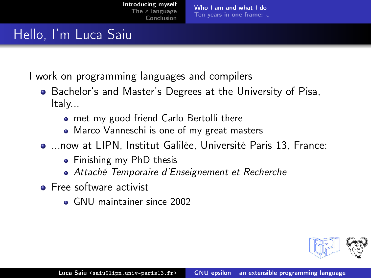[Who I am and what I do](#page-5-0) [Ten years in one frame:](#page-7-0) ε

## Hello, I'm Luca Saiu

- Bachelor's and Master's Degrees at the University of Pisa, Italy...
	- met my good friend Carlo Bertolli there
	- Marco Vanneschi is one of my great masters
- ...now at LIPN, Institut Galilée, Université Paris 13, France:
	- Finishing my PhD thesis
	- Attaché Temporaire d'Enseignement et Recherche
- **•** Free software activist
	- GNU maintainer since 2002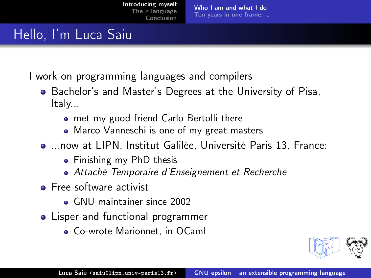[Who I am and what I do](#page-1-0) [Ten years in one frame:](#page-7-0) ε

## Hello, I'm Luca Saiu

- Bachelor's and Master's Degrees at the University of Pisa, Italy...
	- met my good friend Carlo Bertolli there
	- Marco Vanneschi is one of my great masters
- ...now at LIPN, Institut Galilée, Université Paris 13, France:
	- Finishing my PhD thesis
	- Attaché Temporaire d'Enseignement et Recherche
- **•** Free software activist
	- GNU maintainer since 2002
- <span id="page-5-0"></span>• Lisper and functional programmer
	- Co-wrote Marionnet, in OCaml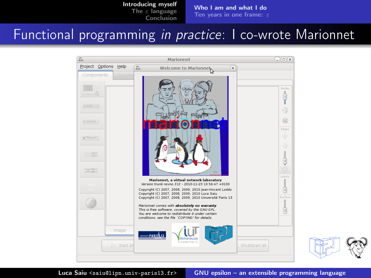[Who I am and what I do](#page-1-0) [Ten years in one frame:](#page-7-0)  $\varepsilon$ 

### Functional programming in practice: I co-wrote Marionnet



Luca Saiu <saiu@lipn.univ-paris13.fr> [GNU epsilon – an extensible programming language](#page-0-0)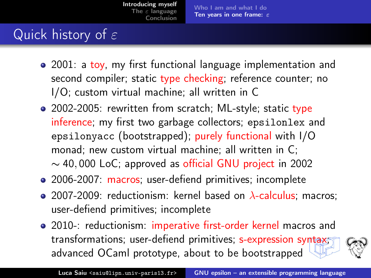# Quick history of  $\varepsilon$

- 2001: a toy, my first functional language implementation and second compiler; static type checking; reference counter; no I/O; custom virtual machine; all written in C
- 2002-2005: rewritten from scratch; ML-style; static type inference; my first two garbage collectors; epsilonlex and epsilonyacc (bootstrapped); purely functional with I/O monad; new custom virtual machine; all written in C; ∼ 40, 000 LoC; approved as official GNU project in 2002
- 2006-2007: macros; user-defiend primitives; incomplete
- 2007-2009: reductionism: kernel based on  $\lambda$ -calculus; macros; user-defiend primitives; incomplete
- <span id="page-7-0"></span>2010-: reductionism: imperative first-order kernel macros and transformations; user-defiend primitives; s-expression syntax; advanced OCaml prototype, about to be bootstrapped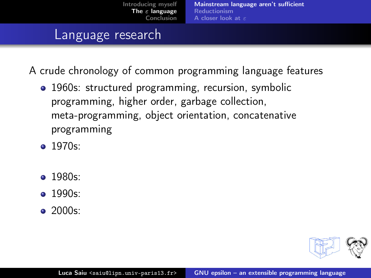#### Language research

- 1960s: structured programming, recursion, symbolic programming, higher order, garbage collection, meta-programming, object orientation, concatenative programming
- $\bullet$  1970s:
- $\bullet$  1980s:
- $\bullet$  1990s:
- $\bullet$  2000s:

<span id="page-8-0"></span>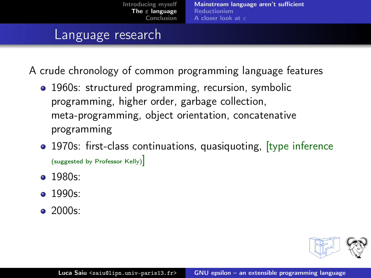#### Language research

- 1960s: structured programming, recursion, symbolic programming, higher order, garbage collection, meta-programming, object orientation, concatenative programming
- 1970s: first-class continuations, quasiquoting, *[type inference* (suggested by Professor Kelly)]
- $\bullet$  1980s:
- $\bullet$  1990s:
- $\bullet$  2000s:

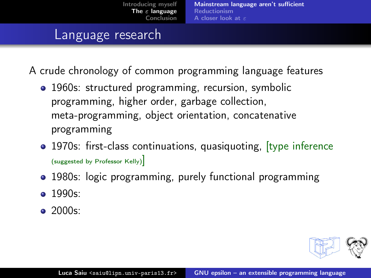#### Language research

- 1960s: structured programming, recursion, symbolic programming, higher order, garbage collection, meta-programming, object orientation, concatenative programming
- 1970s: first-class continuations, quasiquoting, *[type inference* (suggested by Professor Kelly)]
- 1980s: logic programming, purely functional programming
- $\bullet$  1990s:
- $\bullet$  2000s: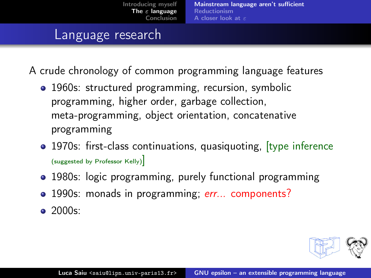#### Language research

A crude chronology of common programming language features

- 1960s: structured programming, recursion, symbolic programming, higher order, garbage collection, meta-programming, object orientation, concatenative programming
- 1970s: first-class continuations, quasiquoting, *[type inference* (suggested by Professor Kelly)]
- 1980s: logic programming, purely functional programming
- 1990s: monads in programming; err... components?

 $\bullet$  2000s: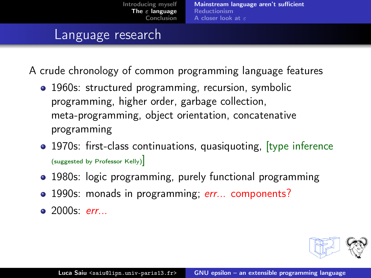#### Language research

- 1960s: structured programming, recursion, symbolic programming, higher order, garbage collection, meta-programming, object orientation, concatenative programming
- 1970s: first-class continuations, quasiquoting, *[type inference* (suggested by Professor Kelly)]
- 1980s: logic programming, purely functional programming
- 1990s: monads in programming; err... components?
- $\bullet$  2000s: err...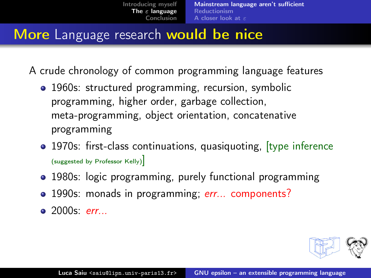### More Language research would be nice

- 1960s: structured programming, recursion, symbolic programming, higher order, garbage collection, meta-programming, object orientation, concatenative programming
- 1970s: first-class continuations, quasiquoting, *[type inference* (suggested by Professor Kelly)]
- 1980s: logic programming, purely functional programming
- 1990s: monads in programming; err... components?
- $\bullet$  2000s: err...

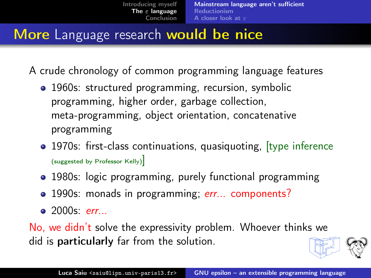## More Language research would be nice

A crude chronology of common programming language features

- 1960s: structured programming, recursion, symbolic programming, higher order, garbage collection, meta-programming, object orientation, concatenative programming
- 1970s: first-class continuations, quasiquoting, [type inference (suggested by Professor Kelly)]
- 1980s: logic programming, purely functional programming
- 1990s: monads in programming; err... components?
- <span id="page-14-0"></span> $\bullet$  2000s: err...

No, we didn't solve the expressivity problem. Whoever thinks we did is particularly far from the solution.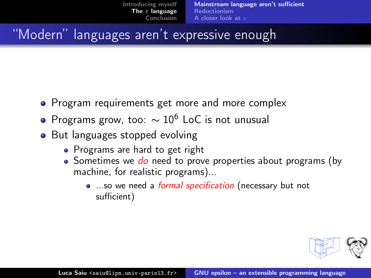### "Modern" languages aren't expressive enough

- Program requirements get more and more complex
- $\bullet$  Programs grow, too:  $\sim 10^6$  LoC is not unusual
- But languages stopped evolving
	- Programs are hard to get right
	- $\bullet$  Sometimes we  $do$  need to prove properties about programs (by machine, for realistic programs)...
		- ...so we need a *formal specification* (necessary but not sufficient)

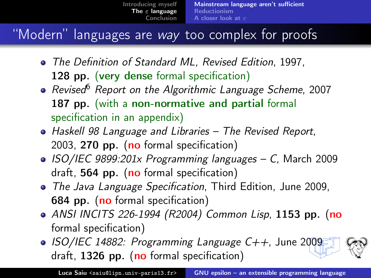### "Modern" languages are way too complex for proofs

- The Definition of Standard ML, Revised Edition, 1997, 128 pp. (very dense formal specification)
- Revised<sup>6</sup> Report on the Algorithmic Language Scheme, 2007 187 pp. (with a non-normative and partial formal specification in an appendix)
- **•** Haskell 98 Language and Libraries The Revised Report, 2003, 270 pp. (no formal specification)
- ISO/IEC 9899:201x Programming languages C, March 2009 draft,  $564$  pp. (no formal specification)
- The Java Language Specification, Third Edition, June 2009, 684 pp. (no formal specification)
- ANSI INCITS 226-1994 (R2004) Common Lisp, 1153 pp. (no formal specification)
- $\bullet$  ISO/IEC 14882: Programming Language C++, June 2009 draft,  $1326$  pp. (no formal specification)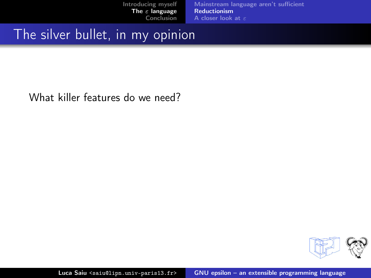### The silver bullet, in my opinion

<span id="page-17-0"></span>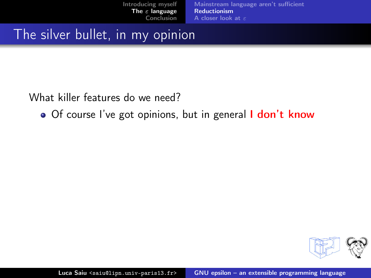### The silver bullet, in my opinion

What killer features do we need?

• Of course I've got opinions, but in general I don't know

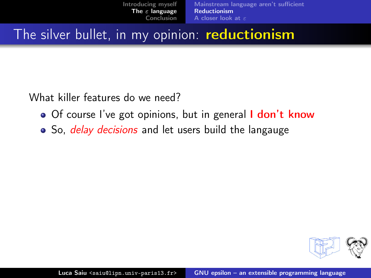The silver bullet, in my opinion: reductionism

- Of course I've got opinions, but in general I don't know
- So, *delay decisions* and let users build the langauge

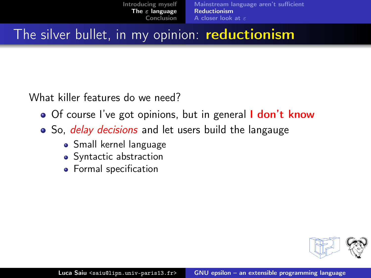The silver bullet, in my opinion: reductionism

- Of course I've got opinions, but in general I don't know
- So, *delay decisions* and let users build the langauge
	- Small kernel language
	- Syntactic abstraction
	- **•** Formal specification

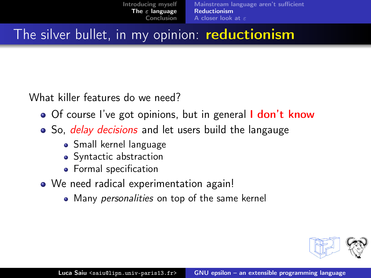The silver bullet, in my opinion: reductionism

- Of course I've got opinions, but in general I don't know
- So, *delay decisions* and let users build the langauge
	- Small kernel language
	- Syntactic abstraction
	- **•** Formal specification
- <span id="page-21-0"></span>• We need radical experimentation again!
	- Many *personalities* on top of the same kernel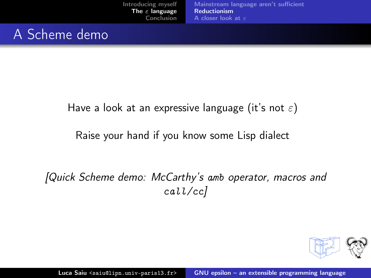## A Scheme demo

#### Have a look at an expressive language (it's not  $\varepsilon$ )

#### Raise your hand if you know some Lisp dialect .

#### [Quick Scheme demo: McCarthy's amb operator, macros and call/cc]

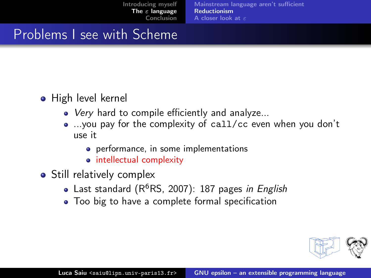### Problems I see with Scheme

- High level kernel
	- Very hard to compile efficiently and analyze...
	- ...you pay for the complexity of call/cc even when you don't use it
		- **•** performance, in some implementations
		- intellectual complexity
- Still relatively complex
	- Last standard ( $R^6RS$ , 2007): 187 pages in English
	- Too big to have a complete formal specification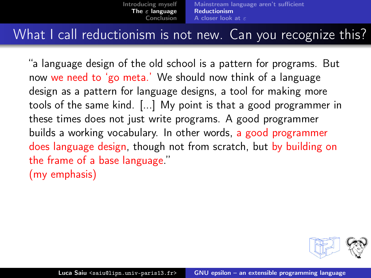### What I call reductionism is not new. Can you recognize this?

"a language design of the old school is a pattern for programs. But now we need to 'go meta.' We should now think of a language design as a pattern for language designs, a tool for making more tools of the same kind. [...] My point is that a good programmer in these times does not just write programs. A good programmer builds a working vocabulary. In other words, a good programmer does language design, though not from scratch, but by building on the frame of a base language." (my emphasis) .

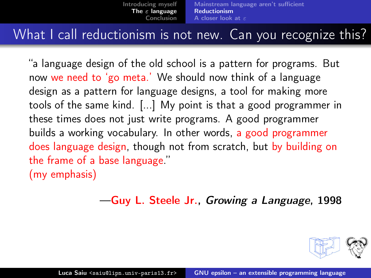### What I call reductionism is not new. Can you recognize this?

"a language design of the old school is a pattern for programs. But now we need to 'go meta.' We should now think of a language design as a pattern for language designs, a tool for making more tools of the same kind. [...] My point is that a good programmer in these times does not just write programs. A good programmer builds a working vocabulary. In other words, a good programmer does language design, though not from scratch, but by building on the frame of a base language." (my emphasis) .

—Guy L. Steele Jr., Growing a Language, 1998

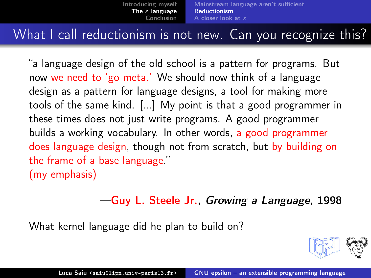### What I call reductionism is not new. Can you recognize this?

"a language design of the old school is a pattern for programs. But now we need to 'go meta.' We should now think of a language design as a pattern for language designs, a tool for making more tools of the same kind. [...] My point is that a good programmer in these times does not just write programs. A good programmer builds a working vocabulary. In other words, a good programmer does language design, though not from scratch, but by building on the frame of a base language." (my emphasis) .

#### —Guy L. Steele Jr., Growing a Language, 1998

What kernel language did he plan to build on?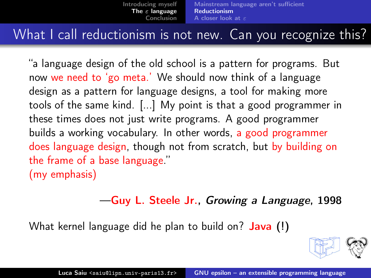#### What I call reductionism is not new. Can you recognize this?

"a language design of the old school is a pattern for programs. But now we need to 'go meta.' We should now think of a language design as a pattern for language designs, a tool for making more tools of the same kind. [...] My point is that a good programmer in these times does not just write programs. A good programmer builds a working vocabulary. In other words, a good programmer does language design, though not from scratch, but by building on the frame of a base language." (my emphasis) .

#### —Guy L. Steele Jr., Growing a Language, 1998

What kernel language did he plan to build on? **Java** (!)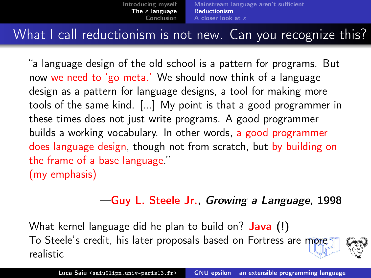### What I call reductionism is not new. Can you recognize this?

"a language design of the old school is a pattern for programs. But now we need to 'go meta.' We should now think of a language design as a pattern for language designs, a tool for making more tools of the same kind. [...] My point is that a good programmer in these times does not just write programs. A good programmer builds a working vocabulary. In other words, a good programmer does language design, though not from scratch, but by building on the frame of a base language." (my emphasis) .

#### —Guy L. Steele Jr., Growing a Language, 1998

What kernel language did he plan to build on? **Java** (!) To Steele's credit, his later proposals based on Fortress are more realistic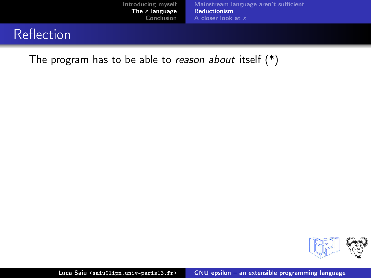## **Reflection**

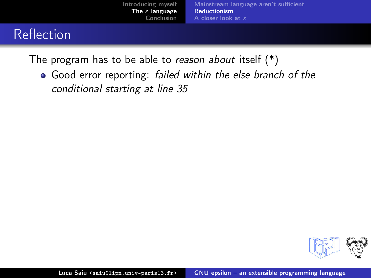## Reflection

The program has to be able to reason about itself  $(*)$ 

• Good error reporting: failed within the else branch of the conditional starting at line 35

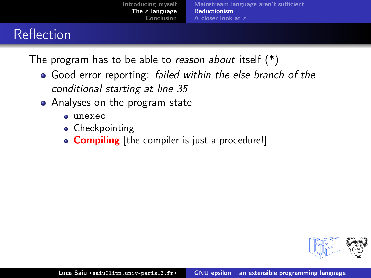# Reflection

- Good error reporting: failed within the else branch of the conditional starting at line 35
- Analyses on the program state
	- $\bullet$  unexec
	- Checkpointing
	- **Compiling** [the compiler is just a procedure!]

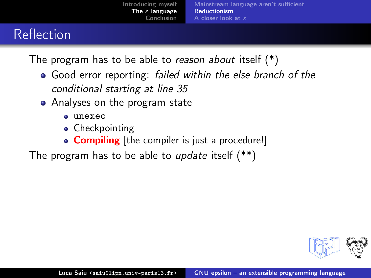# Reflection

The program has to be able to reason about itself  $(*)$ 

- Good error reporting: failed within the else branch of the conditional starting at line 35
- Analyses on the program state
	- $\bullet$  unexec
	- Checkpointing
	- Compiling [the compiler is just a procedure!]

The program has to be able to *update* itself (\*\*)

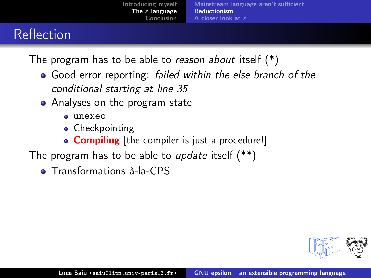# Reflection

- Good error reporting: failed within the else branch of the conditional starting at line 35
- Analyses on the program state
	- $\bullet$  unexec
	- Checkpointing
	- Compiling [the compiler is just a procedure!]
- The program has to be able to *update* itself (\*\*)
	- **Transformations à-la-CPS**

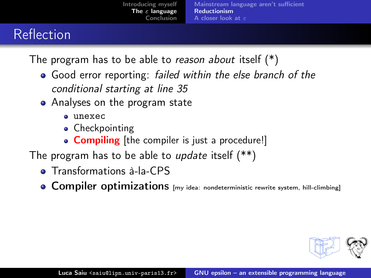# Reflection

- Good error reporting: failed within the else branch of the conditional starting at line 35
- Analyses on the program state
	- $\bullet$  unexec
	- Checkpointing
	- Compiling [the compiler is just a procedure!]
- The program has to be able to *update* itself (\*\*)
	- **Transformations à-la-CPS**
	- **Compiler optimizations** [my idea: nondeterministic rewrite system, hill-climbing]

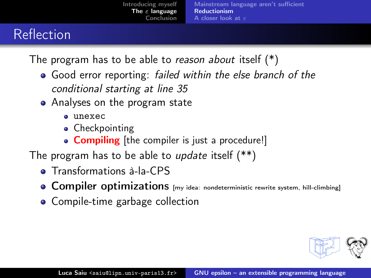# Reflection

- Good error reporting: failed within the else branch of the conditional starting at line 35
- Analyses on the program state
	- $\bullet$  unexec
	- Checkpointing
	- Compiling [the compiler is just a procedure!]
- The program has to be able to *update* itself (\*\*)
	- **Transformations à-la-CPS**
	- **Compiler optimizations** [my idea: nondeterministic rewrite system, hill-climbing]
	- Compile-time garbage collection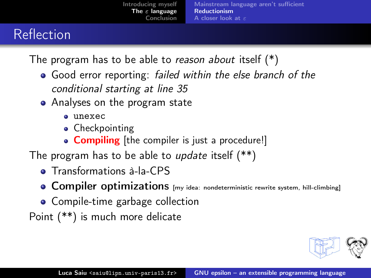# Reflection

The program has to be able to reason about itself  $(*)$ 

- Good error reporting: failed within the else branch of the conditional starting at line 35
- Analyses on the program state
	- $\bullet$  unexec
	- Checkpointing
	- Compiling [the compiler is just a procedure!]
- The program has to be able to *update* itself (\*\*)
	- **Transformations à-la-CPS**
	- **Compiler optimizations** [my idea: nondeterministic rewrite system, hill-climbing]
	- Compile-time garbage collection

Point (\*\*) is much more delicate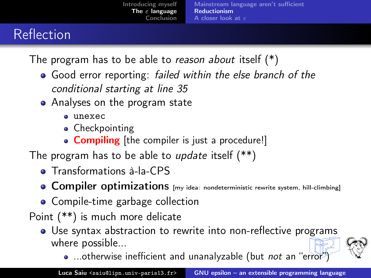# Reflection

- Good error reporting: failed within the else branch of the conditional starting at line 35
- Analyses on the program state
	- $\bullet$  unexec
	- Checkpointing
	- Compiling [the compiler is just a procedure!]
- The program has to be able to *update* itself  $(**)$ 
	- **•** Transformations à-la-CPS
	- **Compiler optimizations** [my idea: nondeterministic rewrite system, hill-climbing]
	- Compile-time garbage collection
- Point (\*\*) is much more delicate
	- Use syntax abstraction to rewrite into non-reflective programs where possible...
		- ...otherwise inefficient and unanalyzable (but not an "error"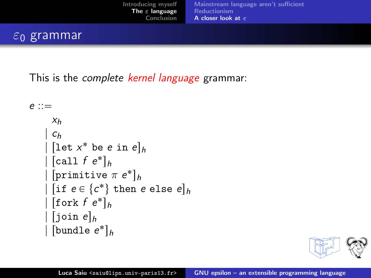#### $ε_0$  grammar

This is the *complete kernel language* grammar:

```
e ::=
       X_h| c<sub>h</sub>\int[let x^* be e in e]<sub>h</sub>
\left[call f e<sup>*</sup>\right]_h| [primitive \pi e^*]_h| if e \in \{c^*\} then e else e]_h\int[fork f e<sup>*</sup>]h| [join e]_h\begin{bmatrix} 1 & h \\ h & h \end{bmatrix} [bundle e^*]
```
<span id="page-38-0"></span>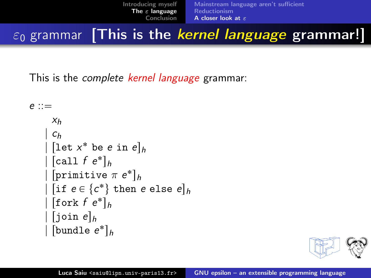### $\varepsilon_0$  grammar [This is the kernel language grammar!]

This is the *complete kernel language* grammar:

 $e$  ::=  $X<sub>h</sub>$  $| c<sub>h</sub>$  $\int$ [let  $x^*$  be *e* in  $e$ ]<sub>h</sub>  $\left[$ call f e<sup>\*</sup> $\right]_h$ |  $[$ primitive  $\pi$   $e^*$  $]_h$ | if  $e \in \{c^*\}$  then e else  $e]_h$  $\int$ [fork f e<sup>\*</sup>] $h$  $\lVert$  join e $\rVert_h$  $\begin{bmatrix} 1 & h \\ h & h \end{bmatrix}$  [bundle  $e^*$ ]

<span id="page-39-0"></span>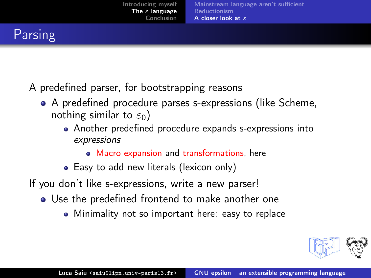## Parsing

- A predefined parser, for bootstrapping reasons
	- A predefined procedure parses s-expressions (like Scheme, nothing similar to  $\varepsilon_0$ )
		- Another predefined procedure expands s-expressions into expressions
			- Macro expansion and transformations, here
		- Easy to add new literals (lexicon only)
- If you don't like s-expressions, write a new parser!
	- Use the predefined frontend to make another one
		- Minimality not so important here: easy to replace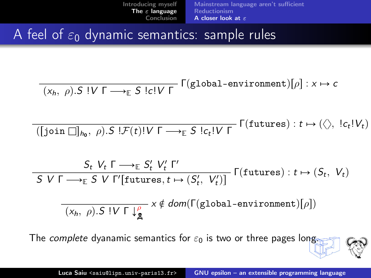A feel of  $\varepsilon_0$  dynamic semantics: sample rules

Ĭ.

÷,

$$
\overline{(x_h, \rho).S \mid V \Gamma \longrightarrow_{\mathbb{E}} S \mid c!V \Gamma} \Gamma \text{(global-environment)}[\rho] : x \mapsto c
$$

$$
\overline{(\text{[join } \Box \text{]}_{h_0}, \rho).S \text{!}\mathcal{F}(t)!V \Gamma \longrightarrow_{\mathbb{E}} S \text{!}\mathcal{C}_t!V \Gamma} \Gamma(\text{futures}): t \mapsto (\langle \rangle, \text{!}\mathcal{C}_t!V_t)
$$

$$
\frac{S_t \ V_t \ \Gamma \longrightarrow_{\mathbb{E}} S'_t \ V'_t \ \Gamma'}{S \ V \ \Gamma \longrightarrow_{\mathbb{E}} S \ V \ \Gamma' [\text{futures}, t \mapsto (S'_t, \ V'_t)]} \ \Gamma (\text{futures}): t \mapsto (S_t, \ V_t)
$$

$$
\overline{(x_h, \rho).S \mid V \sqcap \downarrow^{\rho}_{\mathbf{g}}} \times \notin \textit{dom}(\Gamma(\text{global-environment})[\rho])
$$

The complete dyanamic semantics for  $\varepsilon_0$  is two or three pages long.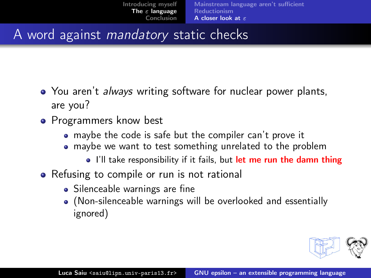### A word against mandatory static checks

- You aren't *always* writing software for nuclear power plants, are you?
- Programmers know best
	- maybe the code is safe but the compiler can't prove it
	- maybe we want to test something unrelated to the problem
		- I'll take responsibility if it fails, but let me run the damn thing
- Refusing to compile or run is not rational
	- Silenceable warnings are fine
	- (Non-silenceable warnings will be overlooked and essentially ignored)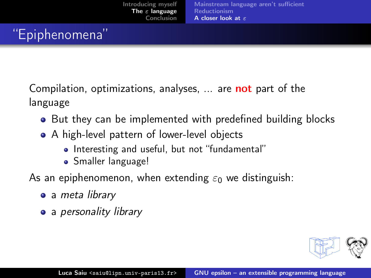# "Epiphenomena"

Compilation, optimizations, analyses, ... are **not** part of the language

- But they can be implemented with predefined building blocks
- A high-level pattern of lower-level objects
	- Interesting and useful, but not "fundamental"
	- Smaller language!

As an epiphenomenon, when extending  $\varepsilon_0$  we distinguish:

- a meta library
- a personality library

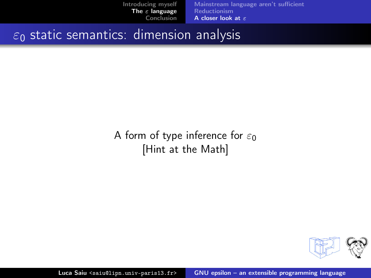$\varepsilon_0$  static semantics: dimension analysis

#### A form of type inference for  $\varepsilon_0$ [Hint at the Math]

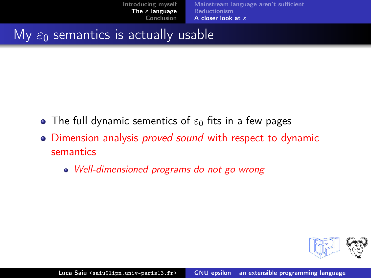#### My  $\varepsilon_0$  semantics is actually usable

- $\bullet$  The full dynamic sementics of  $\varepsilon_0$  fits in a few pages
- Dimension analysis *proved sound* with respect to dynamic semantics
	- Well-dimensioned programs do not go wrong

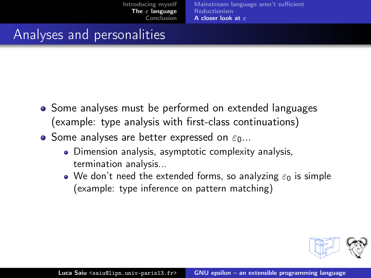### Analyses and personalities

- Some analyses must be performed on extended languages (example: type analysis with first-class continuations)
- Some analyses are better expressed on  $\varepsilon_0$ ...
	- Dimension analysis, asymptotic complexity analysis, termination analysis...
	- $\bullet$  We don't need the extended forms, so analyzing  $\varepsilon_0$  is simple (example: type inference on pattern matching)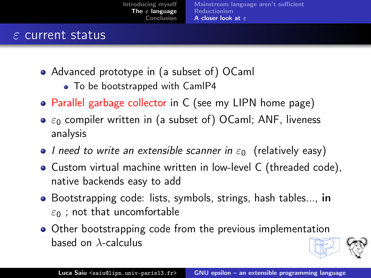#### $\varepsilon$  current status

- Advanced prototype in (a subset of) OCaml
	- To be bootstrapped with CamIP4
- Parallel garbage collector in C (see my LIPN home page)
- $\bullet$   $\varepsilon_0$  compiler written in (a subset of) OCaml; ANF, liveness analysis
- $\bullet$  I need to write an extensible scanner in  $\varepsilon_0$  (relatively easy)
- Custom virtual machine written in low-level C (threaded code), native backends easy to add
- Bootstrapping code: lists, symbols, strings, hash tables..., in  $\varepsilon_0$  ; not that uncomfortable
- Other bootstrapping code from the previous implementation based on λ-calculus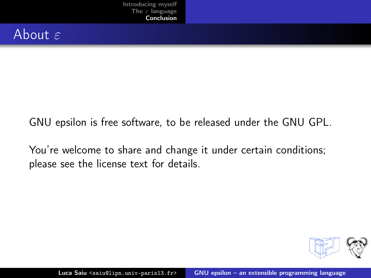### About  $\varepsilon$

GNU epsilon is free software, to be released under the GNU GPL. .

You're welcome to share and change it under certain conditions; please see the license text for details.

<span id="page-48-0"></span>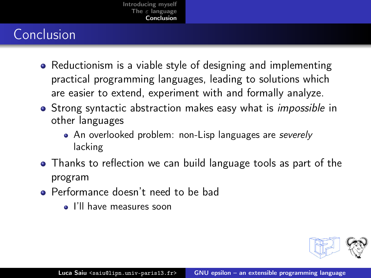# Conclusion

- Reductionism is a viable style of designing and implementing practical programming languages, leading to solutions which are easier to extend, experiment with and formally analyze.
- Strong syntactic abstraction makes easy what is *impossible* in other languages
	- An overlooked problem: non-Lisp languages are severely lacking
- Thanks to reflection we can build language tools as part of the program
- **Performance doesn't need to be bad** 
	- I'll have measures soon